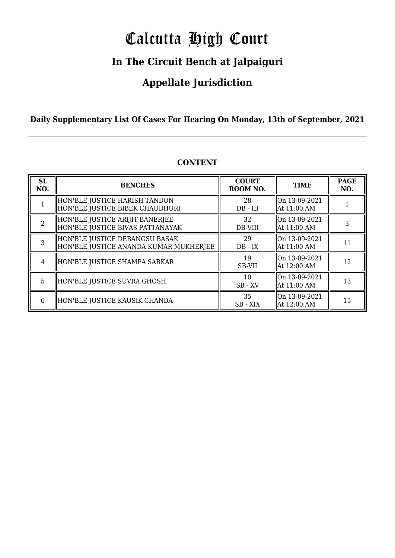# Calcutta High Court

### **In The Circuit Bench at Jalpaiguri**

### **Appellate Jurisdiction**

### **Daily Supplementary List Of Cases For Hearing On Monday, 13th of September, 2021**

| <b>SL</b><br>NO. | <b>BENCHES</b>                                                           | <b>COURT</b><br>ROOM NO. | <b>TIME</b>                     | <b>PAGE</b><br>NO. |
|------------------|--------------------------------------------------------------------------|--------------------------|---------------------------------|--------------------|
|                  | HON'BLE JUSTICE HARISH TANDON<br>HON'BLE JUSTICE BIBEK CHAUDHURI         | 28<br>$DB$ - $III$       | On 13-09-2021<br>  At 11:00 AM  |                    |
|                  | HON'BLE JUSTICE ARIJIT BANERJEE<br>HON'BLE JUSTICE BIVAS PATTANAYAK      | 32<br>DB-VIII            | On 13-09-2021<br>  At 11:00 AM  | 3                  |
|                  | HON'BLE JUSTICE DEBANGSU BASAK<br>HON'BLE JUSTICE ANANDA KUMAR MUKHERJEE | 29<br>$DB - IX$          | On 13-09-2021<br>  At 11:00 AM  | 11                 |
| 4                | HON'BLE JUSTICE SHAMPA SARKAR                                            | 19<br>SB-VII             | On 13-09-2021<br>  At 12:00 AM  | 12                 |
| 5                | HON'BLE JUSTICE SUVRA GHOSH                                              | 10<br>$SB$ - $XV$        | lOn 13-09-2021<br>  At 11:00 AM | 13                 |
| 6                | HON'BLE JUSTICE KAUSIK CHANDA                                            | 35<br>SB - XIX           | On 13-09-2021<br>  At 12:00 AM  | 15                 |

#### **CONTENT**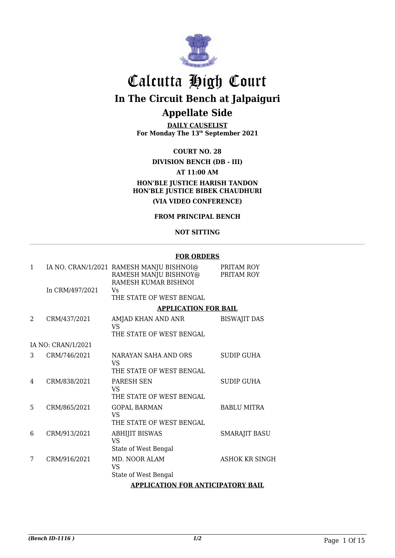

# Calcutta High Court

**In The Circuit Bench at Jalpaiguri**

### **Appellate Side**

**DAILY CAUSELIST** For Monday The 13<sup>th</sup> September 2021

#### **COURT NO. 28**

#### **DIVISION BENCH (DB - III) AT 11:00 AM HON'BLE JUSTICE HARISH TANDON HON'BLE JUSTICE BIBEK CHAUDHURI (VIA VIDEO CONFERENCE)**

#### **FROM PRINCIPAL BENCH**

#### **NOT SITTING**

#### **FOR ORDERS**

| 1              |                    | IA NO. CRAN/1/2021 RAMESH MANJU BISHNOI@<br>RAMESH MANJU BISHNOY@<br>RAMESH KUMAR BISHNOI | PRITAM ROY<br>PRITAM ROY |
|----------------|--------------------|-------------------------------------------------------------------------------------------|--------------------------|
|                | In CRM/497/2021    | Vs<br>THE STATE OF WEST BENGAL                                                            |                          |
|                |                    | <b>APPLICATION FOR BAIL</b>                                                               |                          |
| $\mathfrak{D}$ | CRM/437/2021       | AMJAD KHAN AND ANR<br>VS                                                                  | <b>BISWAJIT DAS</b>      |
|                |                    | THE STATE OF WEST BENGAL                                                                  |                          |
|                | IA NO: CRAN/1/2021 |                                                                                           |                          |
| 3              | CRM/746/2021       | NARAYAN SAHA AND ORS<br>VS                                                                | <b>SUDIP GUHA</b>        |
|                |                    | THE STATE OF WEST BENGAL                                                                  |                          |
| 4              | CRM/838/2021       | <b>PARESH SEN</b><br>VS                                                                   | <b>SUDIP GUHA</b>        |
|                |                    | THE STATE OF WEST BENGAL                                                                  |                          |
| 5              | CRM/865/2021       | <b>GOPAL BARMAN</b><br>VS                                                                 | <b>BABLU MITRA</b>       |
|                |                    | THE STATE OF WEST BENGAL                                                                  |                          |
| 6              | CRM/913/2021       | <b>ABHIJIT BISWAS</b><br>VS                                                               | <b>SMARAJIT BASU</b>     |
|                |                    | State of West Bengal                                                                      |                          |
| 7              | CRM/916/2021       | MD. NOOR ALAM<br><b>VS</b>                                                                | <b>ASHOK KR SINGH</b>    |
|                |                    | State of West Bengal                                                                      |                          |
|                |                    | <b>APPLICATION FOR ANTICIPATORY BAIL</b>                                                  |                          |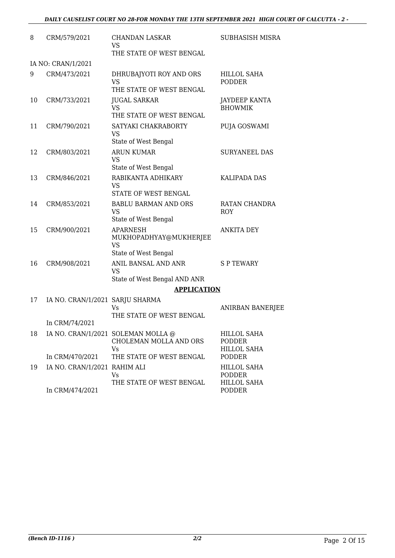| 8  | CRM/579/2021                    | <b>CHANDAN LASKAR</b><br>VS<br>THE STATE OF WEST BENGAL                        | SUBHASISH MISRA                                           |
|----|---------------------------------|--------------------------------------------------------------------------------|-----------------------------------------------------------|
|    | IA NO: CRAN/1/2021              |                                                                                |                                                           |
| 9  | CRM/473/2021                    | DHRUBAJYOTI ROY AND ORS<br>VS<br>THE STATE OF WEST BENGAL                      | HILLOL SAHA<br><b>PODDER</b>                              |
| 10 | CRM/733/2021                    | <b>JUGAL SARKAR</b><br>VS<br>THE STATE OF WEST BENGAL                          | <b>JAYDEEP KANTA</b><br><b>BHOWMIK</b>                    |
| 11 | CRM/790/2021                    | SATYAKI CHAKRABORTY<br>VS<br>State of West Bengal                              | PUJA GOSWAMI                                              |
| 12 | CRM/803/2021                    | <b>ARUN KUMAR</b><br>VS<br>State of West Bengal                                | <b>SURYANEEL DAS</b>                                      |
| 13 | CRM/846/2021                    | RABIKANTA ADHIKARY<br>VS<br>STATE OF WEST BENGAL                               | <b>KALIPADA DAS</b>                                       |
| 14 | CRM/853/2021                    | <b>BABLU BARMAN AND ORS</b><br>VS<br>State of West Bengal                      | RATAN CHANDRA<br>ROY                                      |
| 15 | CRM/900/2021                    | <b>APARNESH</b><br>MUKHOPADHYAY@MUKHERJEE<br><b>VS</b><br>State of West Bengal | <b>ANKITA DEY</b>                                         |
| 16 | CRM/908/2021                    | ANIL BANSAL AND ANR<br><b>VS</b><br>State of West Bengal AND ANR               | <b>SPTEWARY</b>                                           |
|    |                                 | <b>APPLICATION</b>                                                             |                                                           |
| 17 | IA NO. CRAN/1/2021 SARJU SHARMA | Vs<br>THE STATE OF WEST BENGAL                                                 | ANIRBAN BANERJEE                                          |
|    | In CRM/74/2021                  |                                                                                |                                                           |
| 18 |                                 | IA NO. CRAN/1/2021 SOLEMAN MOLLA @<br>CHOLEMAN MOLLA AND ORS<br>Vs             | <b>HILLOL SAHA</b><br><b>PODDER</b><br>HILLOL SAHA        |
|    | In CRM/470/2021                 | THE STATE OF WEST BENGAL                                                       | <b>PODDER</b>                                             |
| 19 | IA NO. CRAN/1/2021 RAHIM ALI    | Vs<br>THE STATE OF WEST BENGAL                                                 | <b>HILLOL SAHA</b><br><b>PODDER</b><br><b>HILLOL SAHA</b> |
|    | In CRM/474/2021                 |                                                                                | PODDER                                                    |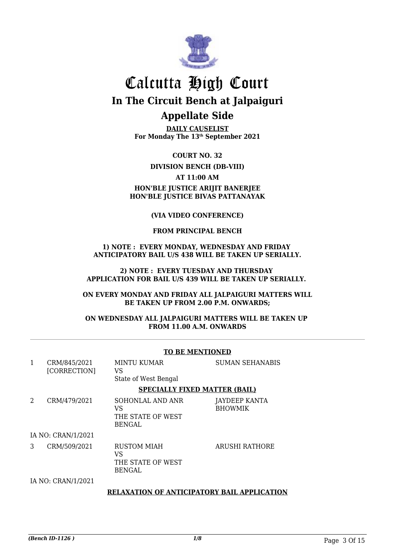

**DAILY CAUSELIST For Monday The 13th September 2021**

**COURT NO. 32**

**DIVISION BENCH (DB-VIII)**

**AT 11:00 AM**

#### **HON'BLE JUSTICE ARIJIT BANERJEE HON'BLE JUSTICE BIVAS PATTANAYAK**

#### **(VIA VIDEO CONFERENCE)**

#### **FROM PRINCIPAL BENCH**

#### **1) NOTE : EVERY MONDAY, WEDNESDAY AND FRIDAY ANTICIPATORY BAIL U/S 438 WILL BE TAKEN UP SERIALLY.**

#### **2) NOTE : EVERY TUESDAY AND THURSDAY APPLICATION FOR BAIL U/S 439 WILL BE TAKEN UP SERIALLY.**

#### **ON EVERY MONDAY AND FRIDAY ALL JALPAIGURI MATTERS WILL BE TAKEN UP FROM 2.00 P.M. ONWARDS;**

#### **ON WEDNESDAY ALL JALPAIGURI MATTERS WILL BE TAKEN UP FROM 11.00 A.M. ONWARDS**

|              | TO DE MENTIONED              |                                                                |                                        |  |
|--------------|------------------------------|----------------------------------------------------------------|----------------------------------------|--|
| $\mathbf{1}$ | CRM/845/2021<br>[CORRECTION] | <b>MINTU KUMAR</b><br>VS<br>State of West Bengal               | <b>SUMAN SEHANABIS</b>                 |  |
|              |                              | <b>SPECIALLY FIXED MATTER (BAIL)</b>                           |                                        |  |
| 2            | CRM/479/2021                 | SOHONLAL AND ANR<br>VS<br>THE STATE OF WEST<br><b>BENGAL</b>   | <b>JAYDEEP KANTA</b><br><b>BHOWMIK</b> |  |
|              | IA NO: CRAN/1/2021           |                                                                |                                        |  |
| 3            | CRM/509/2021                 | <b>RUSTOM MIAH</b><br>VS<br>THE STATE OF WEST<br><b>BENGAL</b> | <b>ARUSHI RATHORE</b>                  |  |
|              | IA NO: CRAN/1/2021           |                                                                |                                        |  |
|              |                              | <b>RELAXATION OF ANTICIPATORY BAIL APPLICATION</b>             |                                        |  |

#### **TO BE MENTIONED**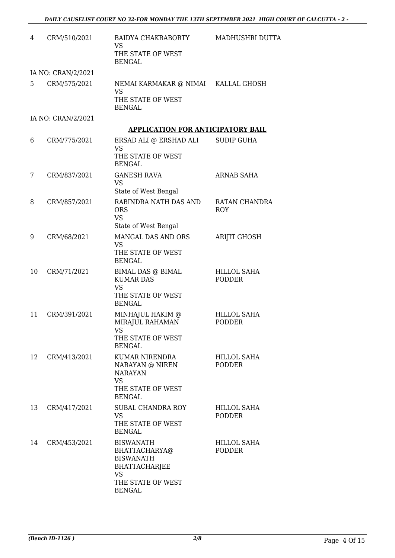| 4  | CRM/510/2021       | BAIDYA CHAKRABORTY<br><b>VS</b><br>THE STATE OF WEST<br><b>BENGAL</b>                                                            | MADHUSHRI DUTTA                     |
|----|--------------------|----------------------------------------------------------------------------------------------------------------------------------|-------------------------------------|
|    | IA NO: CRAN/2/2021 |                                                                                                                                  |                                     |
| 5  | CRM/575/2021       | NEMAI KARMAKAR @ NIMAI KALLAL GHOSH<br><b>VS</b><br>THE STATE OF WEST<br><b>BENGAL</b>                                           |                                     |
|    | IA NO: CRAN/2/2021 |                                                                                                                                  |                                     |
|    |                    | <b>APPLICATION FOR ANTICIPATORY BAIL</b>                                                                                         |                                     |
| 6  | CRM/775/2021       | ERSAD ALI @ ERSHAD ALI<br><b>VS</b><br>THE STATE OF WEST<br><b>BENGAL</b>                                                        | <b>SUDIP GUHA</b>                   |
| 7  | CRM/837/2021       | <b>GANESH RAVA</b><br><b>VS</b><br>State of West Bengal                                                                          | <b>ARNAB SAHA</b>                   |
| 8  | CRM/857/2021       | RABINDRA NATH DAS AND<br><b>ORS</b><br><b>VS</b><br>State of West Bengal                                                         | RATAN CHANDRA<br><b>ROY</b>         |
| 9  | CRM/68/2021        | MANGAL DAS AND ORS<br><b>VS</b><br>THE STATE OF WEST<br><b>BENGAL</b>                                                            | <b>ARIJIT GHOSH</b>                 |
| 10 | CRM/71/2021        | <b>BIMAL DAS @ BIMAL</b><br><b>KUMAR DAS</b><br><b>VS</b><br>THE STATE OF WEST<br><b>BENGAL</b>                                  | <b>HILLOL SAHA</b><br><b>PODDER</b> |
| 11 | CRM/391/2021       | MINHAJUL HAKIM @<br>MIRAJUL RAHAMAN<br>VS.<br>THE STATE OF WEST<br><b>BENGAL</b>                                                 | <b>HILLOL SAHA</b><br><b>PODDER</b> |
| 12 | CRM/413/2021       | <b>KUMAR NIRENDRA</b><br>NARAYAN @ NIREN<br><b>NARAYAN</b><br><b>VS</b><br>THE STATE OF WEST<br><b>BENGAL</b>                    | HILLOL SAHA<br><b>PODDER</b>        |
| 13 | CRM/417/2021       | SUBAL CHANDRA ROY<br><b>VS</b><br>THE STATE OF WEST<br><b>BENGAL</b>                                                             | <b>HILLOL SAHA</b><br><b>PODDER</b> |
| 14 | CRM/453/2021       | <b>BISWANATH</b><br>BHATTACHARYA@<br><b>BISWANATH</b><br><b>BHATTACHARJEE</b><br><b>VS</b><br>THE STATE OF WEST<br><b>BENGAL</b> | <b>HILLOL SAHA</b><br><b>PODDER</b> |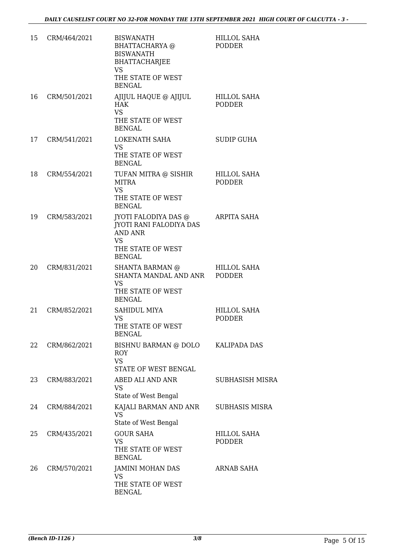| 15 | CRM/464/2021 | <b>BISWANATH</b><br>BHATTACHARYA @<br><b>BISWANATH</b><br>BHATTACHARJEE<br><b>VS</b><br>THE STATE OF WEST<br><b>BENGAL</b> | <b>HILLOL SAHA</b><br><b>PODDER</b> |
|----|--------------|----------------------------------------------------------------------------------------------------------------------------|-------------------------------------|
| 16 | CRM/501/2021 | AJIJUL HAQUE @ AJIJUL<br><b>HAK</b><br>VS.<br>THE STATE OF WEST<br><b>BENGAL</b>                                           | <b>HILLOL SAHA</b><br><b>PODDER</b> |
| 17 | CRM/541/2021 | LOKENATH SAHA<br>VS.<br>THE STATE OF WEST<br><b>BENGAL</b>                                                                 | <b>SUDIP GUHA</b>                   |
| 18 | CRM/554/2021 | TUFAN MITRA @ SISHIR<br><b>MITRA</b><br><b>VS</b><br>THE STATE OF WEST<br><b>BENGAL</b>                                    | <b>HILLOL SAHA</b><br><b>PODDER</b> |
| 19 | CRM/583/2021 | JYOTI FALODIYA DAS @<br>JYOTI RANI FALODIYA DAS<br><b>AND ANR</b><br><b>VS</b><br>THE STATE OF WEST<br><b>BENGAL</b>       | ARPITA SAHA                         |
| 20 | CRM/831/2021 | <b>SHANTA BARMAN</b> @<br>SHANTA MANDAL AND ANR<br>VS.<br>THE STATE OF WEST<br><b>BENGAL</b>                               | <b>HILLOL SAHA</b><br><b>PODDER</b> |
| 21 | CRM/852/2021 | SAHIDUL MIYA<br><b>VS</b><br>THE STATE OF WEST<br><b>BENGAL</b>                                                            | <b>HILLOL SAHA</b><br><b>PODDER</b> |
| 22 | CRM/862/2021 | BISHNU BARMAN @ DOLO<br><b>ROY</b><br><b>VS</b><br>STATE OF WEST BENGAL                                                    | KALIPADA DAS                        |
| 23 | CRM/883/2021 | ABED ALI AND ANR<br><b>VS</b><br>State of West Bengal                                                                      | <b>SUBHASISH MISRA</b>              |
| 24 | CRM/884/2021 | KAJALI BARMAN AND ANR<br><b>VS</b><br>State of West Bengal                                                                 | <b>SUBHASIS MISRA</b>               |
| 25 | CRM/435/2021 | <b>GOUR SAHA</b><br><b>VS</b><br>THE STATE OF WEST<br><b>BENGAL</b>                                                        | <b>HILLOL SAHA</b><br><b>PODDER</b> |
| 26 | CRM/570/2021 | JAMINI MOHAN DAS<br><b>VS</b><br>THE STATE OF WEST<br><b>BENGAL</b>                                                        | <b>ARNAB SAHA</b>                   |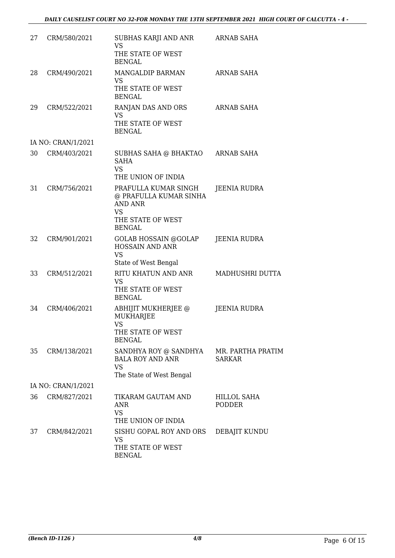| 27 | CRM/580/2021       | SUBHAS KARJI AND ANR<br><b>VS</b><br>THE STATE OF WEST                                                              | <b>ARNAB SAHA</b>                  |
|----|--------------------|---------------------------------------------------------------------------------------------------------------------|------------------------------------|
|    |                    | <b>BENGAL</b>                                                                                                       |                                    |
| 28 | CRM/490/2021       | MANGALDIP BARMAN<br><b>VS</b>                                                                                       | <b>ARNAB SAHA</b>                  |
|    |                    | THE STATE OF WEST<br><b>BENGAL</b>                                                                                  |                                    |
| 29 | CRM/522/2021       | RANJAN DAS AND ORS<br><b>VS</b><br>THE STATE OF WEST<br><b>BENGAL</b>                                               | <b>ARNAB SAHA</b>                  |
|    | IA NO: CRAN/1/2021 |                                                                                                                     |                                    |
| 30 | CRM/403/2021       | SUBHAS SAHA @ BHAKTAO<br><b>SAHA</b><br><b>VS</b><br>THE UNION OF INDIA                                             | ARNAB SAHA                         |
| 31 | CRM/756/2021       | PRAFULLA KUMAR SINGH<br>@ PRAFULLA KUMAR SINHA<br><b>AND ANR</b><br><b>VS</b><br>THE STATE OF WEST<br><b>BENGAL</b> | JEENIA RUDRA                       |
| 32 | CRM/901/2021       | <b>GOLAB HOSSAIN @GOLAP</b><br>HOSSAIN AND ANR<br><b>VS</b><br>State of West Bengal                                 | <b>JEENIA RUDRA</b>                |
| 33 | CRM/512/2021       | RITU KHATUN AND ANR<br><b>VS</b><br>THE STATE OF WEST<br><b>BENGAL</b>                                              | MADHUSHRI DUTTA                    |
| 34 | CRM/406/2021       | ABHIJIT MUKHERJEE @<br><b>MUKHARJEE</b><br><b>VS</b><br>THE STATE OF WEST<br><b>BENGAL</b>                          | JEENIA RUDRA                       |
| 35 | CRM/138/2021       | SANDHYA ROY @ SANDHYA<br><b>BALA ROY AND ANR</b><br><b>VS</b><br>The State of West Bengal                           | MR. PARTHA PRATIM<br><b>SARKAR</b> |
|    | IA NO: CRAN/1/2021 |                                                                                                                     |                                    |
| 36 | CRM/827/2021       | TIKARAM GAUTAM AND<br><b>ANR</b><br><b>VS</b><br>THE UNION OF INDIA                                                 | HILLOL SAHA<br><b>PODDER</b>       |
| 37 | CRM/842/2021       | SISHU GOPAL ROY AND ORS<br><b>VS</b><br>THE STATE OF WEST<br><b>BENGAL</b>                                          | DEBAJIT KUNDU                      |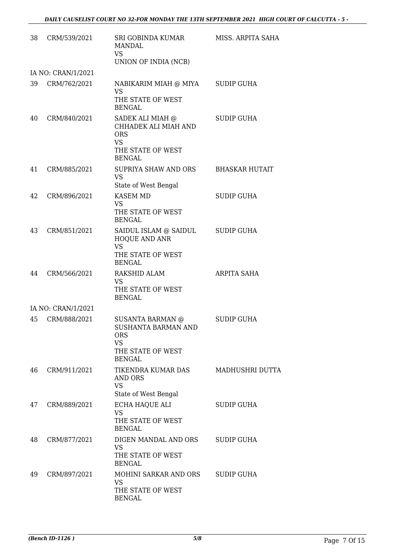| 38 | CRM/539/2021       | SRI GOBINDA KUMAR<br><b>MANDAL</b><br><b>VS</b><br>UNION OF INDIA (NCB)                                         | MISS. ARPITA SAHA     |
|----|--------------------|-----------------------------------------------------------------------------------------------------------------|-----------------------|
|    | IA NO: CRAN/1/2021 |                                                                                                                 |                       |
| 39 | CRM/762/2021       | NABIKARIM MIAH @ MIYA<br>VS<br>THE STATE OF WEST<br><b>BENGAL</b>                                               | <b>SUDIP GUHA</b>     |
| 40 | CRM/840/2021       | SADEK ALI MIAH @<br>CHHADEK ALI MIAH AND<br><b>ORS</b><br><b>VS</b><br>THE STATE OF WEST<br><b>BENGAL</b>       | <b>SUDIP GUHA</b>     |
| 41 | CRM/885/2021       | <b>SUPRIYA SHAW AND ORS</b><br><b>VS</b><br>State of West Bengal                                                | <b>BHASKAR HUTAIT</b> |
| 42 | CRM/896/2021       | KASEM MD<br><b>VS</b><br>THE STATE OF WEST<br><b>BENGAL</b>                                                     | <b>SUDIP GUHA</b>     |
| 43 | CRM/851/2021       | SAIDUL ISLAM @ SAIDUL<br>HOQUE AND ANR<br><b>VS</b><br>THE STATE OF WEST                                        | <b>SUDIP GUHA</b>     |
| 44 | CRM/566/2021       | <b>BENGAL</b><br><b>RAKSHID ALAM</b><br>VS<br>THE STATE OF WEST<br><b>BENGAL</b>                                | ARPITA SAHA           |
|    | IA NO: CRAN/1/2021 |                                                                                                                 |                       |
| 45 | CRM/888/2021       | <b>SUSANTA BARMAN @</b><br>SUSHANTA BARMAN AND<br><b>ORS</b><br><b>VS</b><br>THE STATE OF WEST<br><b>BENGAL</b> | SUDIP GUHA            |
| 46 | CRM/911/2021       | TIKENDRA KUMAR DAS<br>AND ORS<br><b>VS</b><br>State of West Bengal                                              | MADHUSHRI DUTTA       |
| 47 | CRM/889/2021       | ECHA HAQUE ALI<br><b>VS</b><br>THE STATE OF WEST<br><b>BENGAL</b>                                               | <b>SUDIP GUHA</b>     |
| 48 | CRM/877/2021       | DIGEN MANDAL AND ORS<br><b>VS</b><br>THE STATE OF WEST<br><b>BENGAL</b>                                         | SUDIP GUHA            |
| 49 | CRM/897/2021       | MOHINI SARKAR AND ORS<br><b>VS</b><br>THE STATE OF WEST<br><b>BENGAL</b>                                        | <b>SUDIP GUHA</b>     |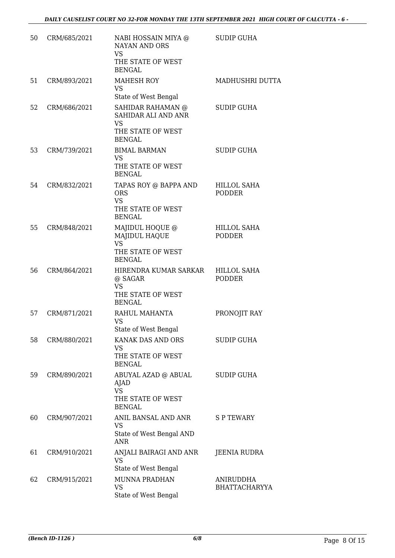| 50 | CRM/685/2021 | NABI HOSSAIN MIYA @<br><b>NAYAN AND ORS</b><br><b>VS</b><br>THE STATE OF WEST<br><b>BENGAL</b>                      | <b>SUDIP GUHA</b>                   |
|----|--------------|---------------------------------------------------------------------------------------------------------------------|-------------------------------------|
| 51 | CRM/893/2021 | <b>MAHESH ROY</b><br><b>VS</b>                                                                                      | MADHUSHRI DUTTA                     |
| 52 | CRM/686/2021 | State of West Bengal<br>SAHIDAR RAHAMAN @<br>SAHIDAR ALI AND ANR<br><b>VS</b><br>THE STATE OF WEST<br><b>BENGAL</b> | <b>SUDIP GUHA</b>                   |
| 53 | CRM/739/2021 | <b>BIMAL BARMAN</b><br><b>VS</b><br>THE STATE OF WEST<br><b>BENGAL</b>                                              | <b>SUDIP GUHA</b>                   |
| 54 | CRM/832/2021 | TAPAS ROY @ BAPPA AND<br><b>ORS</b><br><b>VS</b><br>THE STATE OF WEST<br><b>BENGAL</b>                              | <b>HILLOL SAHA</b><br><b>PODDER</b> |
| 55 | CRM/848/2021 | MAJIDUL HOQUE @<br><b>MAJIDUL HAQUE</b><br><b>VS</b><br>THE STATE OF WEST<br><b>BENGAL</b>                          | <b>HILLOL SAHA</b><br><b>PODDER</b> |
| 56 | CRM/864/2021 | HIRENDRA KUMAR SARKAR HILLOL SAHA<br>@ SAGAR<br><b>VS</b><br>THE STATE OF WEST<br><b>BENGAL</b>                     | <b>PODDER</b>                       |
| 57 | CRM/871/2021 | RAHUL MAHANTA<br>VS<br>State of West Bengal                                                                         | PRONOJIT RAY                        |
| 58 | CRM/880/2021 | KANAK DAS AND ORS<br><b>VS</b><br>THE STATE OF WEST<br><b>BENGAL</b>                                                | <b>SUDIP GUHA</b>                   |
| 59 | CRM/890/2021 | ABUYAL AZAD @ ABUAL<br>AJAD<br><b>VS</b><br>THE STATE OF WEST<br><b>BENGAL</b>                                      | <b>SUDIP GUHA</b>                   |
| 60 | CRM/907/2021 | ANIL BANSAL AND ANR<br>VS<br>State of West Bengal AND<br><b>ANR</b>                                                 | <b>SPTEWARY</b>                     |
| 61 | CRM/910/2021 | ANJALI BAIRAGI AND ANR<br><b>VS</b><br>State of West Bengal                                                         | JEENIA RUDRA                        |
| 62 | CRM/915/2021 | <b>MUNNA PRADHAN</b><br><b>VS</b><br>State of West Bengal                                                           | ANIRUDDHA<br><b>BHATTACHARYYA</b>   |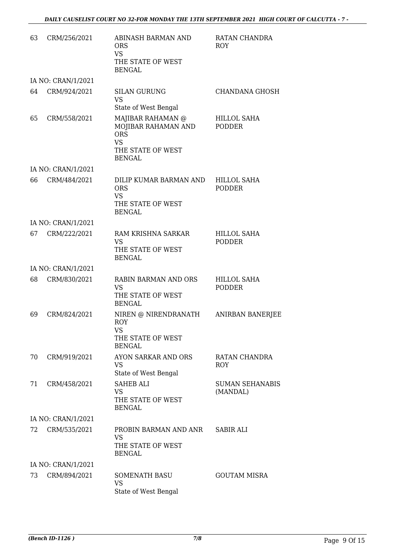| 63 | CRM/256/2021       | ABINASH BARMAN AND<br><b>ORS</b><br><b>VS</b><br>THE STATE OF WEST<br><b>BENGAL</b>                       | RATAN CHANDRA<br><b>ROY</b>         |
|----|--------------------|-----------------------------------------------------------------------------------------------------------|-------------------------------------|
|    | IA NO: CRAN/1/2021 |                                                                                                           |                                     |
| 64 | CRM/924/2021       | <b>SILAN GURUNG</b><br><b>VS</b><br>State of West Bengal                                                  | CHANDANA GHOSH                      |
| 65 | CRM/558/2021       | MAJIBAR RAHAMAN @<br>MOJIBAR RAHAMAN AND<br><b>ORS</b><br><b>VS</b><br>THE STATE OF WEST<br><b>BENGAL</b> | <b>HILLOL SAHA</b><br><b>PODDER</b> |
|    | IA NO: CRAN/1/2021 |                                                                                                           |                                     |
| 66 | CRM/484/2021       | DILIP KUMAR BARMAN AND<br><b>ORS</b><br><b>VS</b><br>THE STATE OF WEST<br><b>BENGAL</b>                   | <b>HILLOL SAHA</b><br><b>PODDER</b> |
|    | IA NO: CRAN/1/2021 |                                                                                                           |                                     |
| 67 | CRM/222/2021       | RAM KRISHNA SARKAR<br><b>VS</b><br>THE STATE OF WEST<br><b>BENGAL</b>                                     | <b>HILLOL SAHA</b><br><b>PODDER</b> |
|    | IA NO: CRAN/1/2021 |                                                                                                           |                                     |
| 68 | CRM/830/2021       | RABIN BARMAN AND ORS<br><b>VS</b><br>THE STATE OF WEST<br><b>BENGAL</b>                                   | <b>HILLOL SAHA</b><br><b>PODDER</b> |
| 69 | CRM/824/2021       | NIREN @ NIRENDRANATH<br><b>ROY</b><br>VS<br>THE STATE OF WEST<br><b>BENGAL</b>                            | ANIRBAN BANERJEE                    |
| 70 | CRM/919/2021       | AYON SARKAR AND ORS<br><b>VS</b><br>State of West Bengal                                                  | RATAN CHANDRA<br><b>ROY</b>         |
| 71 | CRM/458/2021       | <b>SAHEB ALI</b><br><b>VS</b><br>THE STATE OF WEST<br><b>BENGAL</b>                                       | <b>SUMAN SEHANABIS</b><br>(MANDAL)  |
|    | IA NO: CRAN/1/2021 |                                                                                                           |                                     |
| 72 | CRM/535/2021       | PROBIN BARMAN AND ANR<br><b>VS</b><br>THE STATE OF WEST<br><b>BENGAL</b>                                  | SABIR ALI                           |
|    | IA NO: CRAN/1/2021 |                                                                                                           |                                     |
| 73 | CRM/894/2021       | <b>SOMENATH BASU</b><br><b>VS</b><br>State of West Bengal                                                 | <b>GOUTAM MISRA</b>                 |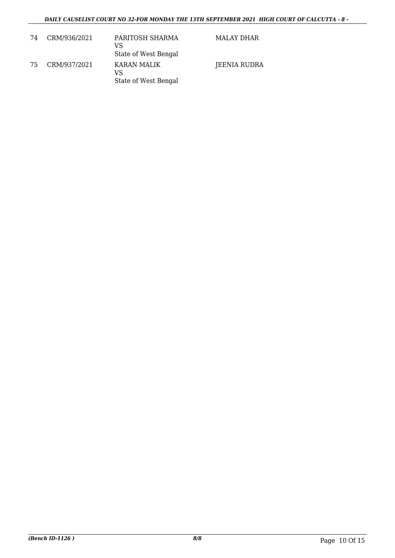| 74 | CRM/936/2021 | PARITOSH SHARMA<br>VS<br>State of West Bengal | MALAY DHAR   |
|----|--------------|-----------------------------------------------|--------------|
| 75 | CRM/937/2021 | KARAN MALIK<br>VS<br>State of West Bengal     | JEENIA RUDRA |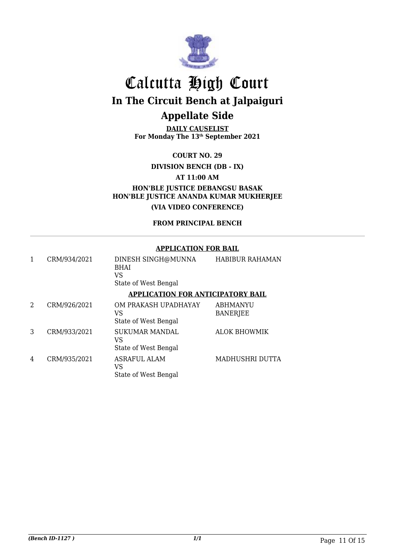

**DAILY CAUSELIST For Monday The 13th September 2021**

**COURT NO. 29**

**DIVISION BENCH (DB - IX)**

**AT 11:00 AM**

**HON'BLE JUSTICE DEBANGSU BASAK HON'BLE JUSTICE ANANDA KUMAR MUKHERJEE (VIA VIDEO CONFERENCE)**

**FROM PRINCIPAL BENCH**

#### **APPLICATION FOR BAIL**

|   | CRM/934/2021 | DINESH SINGH@MUNNA<br><b>BHAI</b><br>VS<br>State of West Bengal | <b>HABIBUR RAHAMAN</b>             |
|---|--------------|-----------------------------------------------------------------|------------------------------------|
|   |              | <b>APPLICATION FOR ANTICIPATORY BAIL</b>                        |                                    |
| 2 | CRM/926/2021 | OM PRAKASH UPADHAYAY<br>VS<br>State of West Bengal              | <b>ABHMANYU</b><br><b>BANERJEE</b> |
| 3 | CRM/933/2021 | <b>SUKUMAR MANDAL</b><br>VS<br>State of West Bengal             | <b>ALOK BHOWMIK</b>                |
| 4 | CRM/935/2021 | <b>ASRAFUL ALAM</b><br>VS<br>State of West Bengal               | MADHUSHRI DUTTA                    |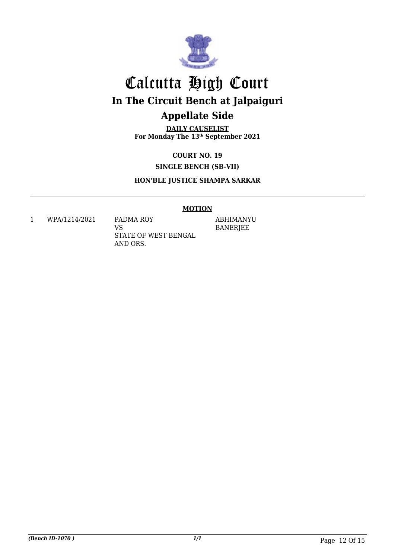

**DAILY CAUSELIST For Monday The 13th September 2021**

> **COURT NO. 19 SINGLE BENCH (SB-VII)**

**HON'BLE JUSTICE SHAMPA SARKAR**

#### **MOTION**

1 WPA/1214/2021 PADMA ROY

VS STATE OF WEST BENGAL AND ORS.

ABHIMANYU BANERJEE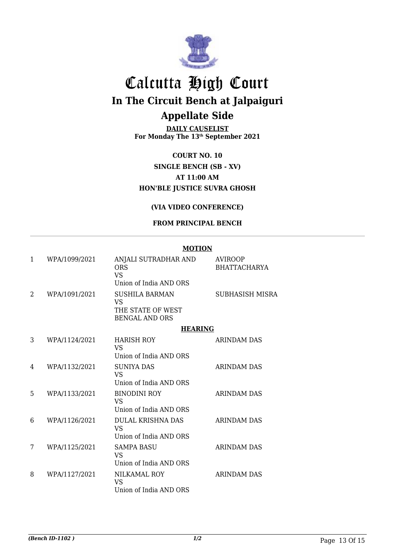

**DAILY CAUSELIST For Monday The 13th September 2021**

**COURT NO. 10 SINGLE BENCH (SB - XV) AT 11:00 AM HON'BLE JUSTICE SUVRA GHOSH**

#### **(VIA VIDEO CONFERENCE)**

#### **FROM PRINCIPAL BENCH**

#### **MOTION**

| 1 | WPA/1099/2021 | ANJALI SUTRADHAR AND<br><b>ORS</b><br>VS.<br>Union of India AND ORS              | <b>AVIROOP</b><br><b>BHATTACHARYA</b> |
|---|---------------|----------------------------------------------------------------------------------|---------------------------------------|
| 2 | WPA/1091/2021 | <b>SUSHILA BARMAN</b><br><b>VS</b><br>THE STATE OF WEST<br><b>BENGAL AND ORS</b> | <b>SUBHASISH MISRA</b>                |
|   |               | <b>HEARING</b>                                                                   |                                       |
| 3 | WPA/1124/2021 | <b>HARISH ROY</b><br>VS<br>Union of India AND ORS                                | ARINDAM DAS                           |
| 4 | WPA/1132/2021 | <b>SUNIYA DAS</b><br><b>VS</b><br>Union of India AND ORS                         | ARINDAM DAS                           |
| 5 | WPA/1133/2021 | <b>BINODINI ROY</b><br>VS<br>Union of India AND ORS                              | <b>ARINDAM DAS</b>                    |
| 6 | WPA/1126/2021 | <b>DULAL KRISHNA DAS</b><br>VS.<br>Union of India AND ORS                        | <b>ARINDAM DAS</b>                    |
| 7 | WPA/1125/2021 | <b>SAMPA BASU</b><br>VS.<br>Union of India AND ORS                               | <b>ARINDAM DAS</b>                    |
| 8 | WPA/1127/2021 | NILKAMAL ROY<br><b>VS</b><br>Union of India AND ORS                              | <b>ARINDAM DAS</b>                    |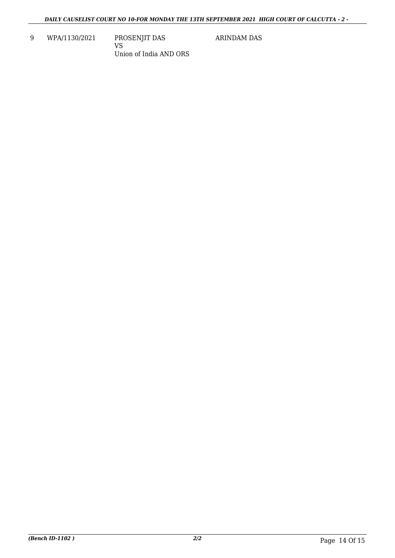9 WPA/1130/2021 PROSENJIT DAS

VS Union of India AND ORS ARINDAM DAS